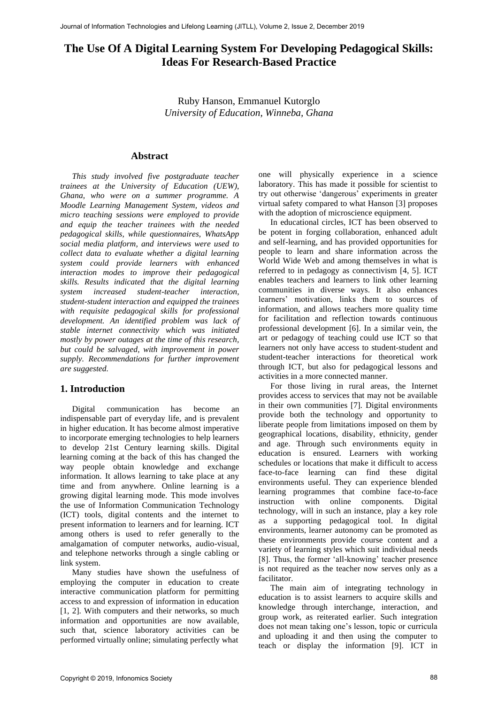# **The Use Of A Digital Learning System For Developing Pedagogical Skills: Ideas For Research-Based Practice**

Ruby Hanson, Emmanuel Kutorglo *University of Education, Winneba, Ghana*

#### **Abstract**

*This study involved five postgraduate teacher trainees at the University of Education (UEW), Ghana, who were on a summer programme. A Moodle Learning Management System, videos and micro teaching sessions were employed to provide and equip the teacher trainees with the needed pedagogical skills, while questionnaires, WhatsApp social media platform, and interviews were used to collect data to evaluate whether a digital learning system could provide learners with enhanced interaction modes to improve their pedagogical skills. Results indicated that the digital learning system increased student-teacher interaction, student-student interaction and equipped the trainees with requisite pedagogical skills for professional development. An identified problem was lack of stable internet connectivity which was initiated mostly by power outages at the time of this research, but could be salvaged, with improvement in power supply. Recommendations for further improvement are suggested.*

## **1. Introduction**

Digital communication has become an indispensable part of everyday life, and is prevalent in higher education. It has become almost imperative to incorporate emerging technologies to help learners to develop 21st Century learning skills. Digital learning coming at the back of this has changed the way people obtain knowledge and exchange information. It allows learning to take place at any time and from anywhere. Online learning is a growing digital learning mode. This mode involves the use of Information Communication Technology (ICT) tools, digital contents and the internet to present information to learners and for learning. ICT among others is used to refer generally to the amalgamation of computer networks, audio-visual, and telephone networks through a single cabling or link system.

Many studies have shown the usefulness of employing the computer in education to create interactive communication platform for permitting access to and expression of information in education [1, 2]. With computers and their networks, so much information and opportunities are now available, such that, science laboratory activities can be performed virtually online; simulating perfectly what

one will physically experience in a science laboratory. This has made it possible for scientist to try out otherwise 'dangerous' experiments in greater virtual safety compared to what Hanson [3] proposes with the adoption of microscience equipment.

In educational circles, ICT has been observed to be potent in forging collaboration, enhanced adult and self-learning, and has provided opportunities for people to learn and share information across the World Wide Web and among themselves in what is referred to in pedagogy as connectivism [4, 5]. ICT enables teachers and learners to link other learning communities in diverse ways. It also enhances learners' motivation, links them to sources of information, and allows teachers more quality time for facilitation and reflection towards continuous professional development [6]. In a similar vein, the art or pedagogy of teaching could use ICT so that learners not only have access to student-student and student-teacher interactions for theoretical work through ICT, but also for pedagogical lessons and activities in a more connected manner.

For those living in rural areas, the Internet provides access to services that may not be available in their own communities [7]. Digital environments provide both the technology and opportunity to liberate people from limitations imposed on them by geographical locations, disability, ethnicity, gender and age. Through such environments equity in education is ensured. Learners with working schedules or locations that make it difficult to access face-to-face learning can find these digital environments useful. They can experience blended learning programmes that combine face-to-face instruction with online components. Digital technology, will in such an instance, play a key role as a supporting pedagogical tool. In digital environments, learner autonomy can be promoted as these environments provide course content and a variety of learning styles which suit individual needs [8]. Thus, the former 'all-knowing' teacher presence is not required as the teacher now serves only as a facilitator.

The main aim of integrating technology in education is to assist learners to acquire skills and knowledge through interchange, interaction, and group work, as reiterated earlier. Such integration does not mean taking one's lesson, topic or curricula and uploading it and then using the computer to teach or display the information [9]. ICT in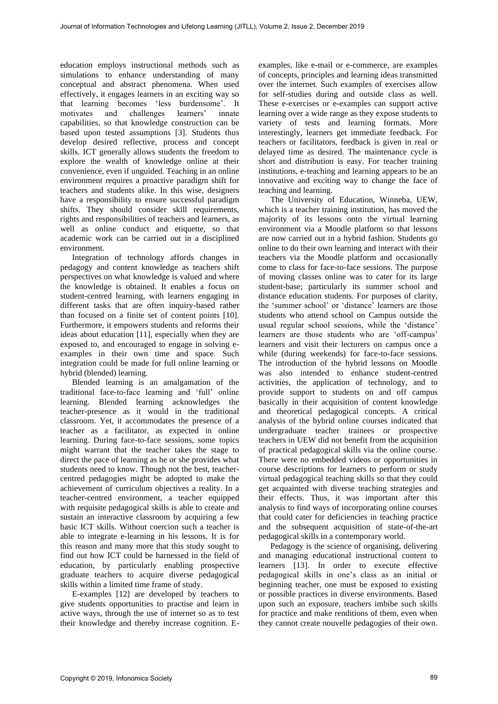education employs instructional methods such as simulations to enhance understanding of many conceptual and abstract phenomena. When used effectively, it engages learners in an exciting way so that learning becomes 'less burdensome'. It motivates and challenges learners' innate capabilities, so that knowledge construction can be based upon tested assumptions [3]. Students thus develop desired reflective, process and concept skills. ICT generally allows students the freedom to explore the wealth of knowledge online at their convenience, even if unguided. Teaching in an online environment requires a proactive paradigm shift for teachers and students alike. In this wise, designers have a responsibility to ensure successful paradigm shifts. They should consider skill requirements, rights and responsibilities of teachers and learners, as well as online conduct and etiquette, so that academic work can be carried out in a disciplined environment.

Integration of technology affords changes in pedagogy and content knowledge as teachers shift perspectives on what knowledge is valued and where the knowledge is obtained. It enables a focus on student-centred learning, with learners engaging in different tasks that are often inquiry-based rather than focused on a finite set of content points [10]. Furthermore, it empowers students and reforms their ideas about education [11], especially when they are exposed to, and encouraged to engage in solving eexamples in their own time and space. Such integration could be made for full online learning or hybrid (blended) learning.

Blended learning is an amalgamation of the traditional face-to-face learning and 'full' online learning. Blended learning acknowledges the teacher-presence as it would in the traditional classroom. Yet, it accommodates the presence of a teacher as a facilitator, as expected in online learning. During face-to-face sessions, some topics might warrant that the teacher takes the stage to direct the pace of learning as he or she provides what students need to know. Though not the best, teachercentred pedagogies might be adopted to make the achievement of curriculum objectives a reality. In a teacher-centred environment, a teacher equipped with requisite pedagogical skills is able to create and sustain an interactive classroom by acquiring a few basic ICT skills. Without coercion such a teacher is able to integrate e-learning in his lessons. It is for this reason and many more that this study sought to find out how ICT could be harnessed in the field of education, by particularly enabling prospective graduate teachers to acquire diverse pedagogical skills within a limited time frame of study.

E-examples [12] are developed by teachers to give students opportunities to practise and learn in active ways, through the use of internet so as to test their knowledge and thereby increase cognition. E-

examples, like e-mail or e-commerce, are examples of concepts, principles and learning ideas transmitted over the internet. Such examples of exercises allow for self-studies during and outside class as well. These e-exercises or e-examples can support active learning over a wide range as they expose students to variety of tests and learning formats. More interestingly, learners get immediate feedback. For teachers or facilitators, feedback is given in real or delayed time as desired. The maintenance cycle is short and distribution is easy. For teacher training institutions, e-teaching and learning appears to be an innovative and exciting way to change the face of teaching and learning.

The University of Education, Winneba, UEW, which is a teacher training institution, has moved the majority of its lessons onto the virtual learning environment via a Moodle platform so that lessons are now carried out in a hybrid fashion. Students go online to do their own learning and interact with their teachers via the Moodle platform and occasionally come to class for face-to-face sessions. The purpose of moving classes online was to cater for its large student-base; particularly its summer school and distance education students. For purposes of clarity, the 'summer school' or 'distance' learners are those students who attend school on Campus outside the usual regular school sessions, while the 'distance' learners are those students who are 'off-campus' learners and visit their lecturers on campus once a while (during weekends) for face-to-face sessions. The introduction of the hybrid lessons on Moodle was also intended to enhance student-centred activities, the application of technology, and to provide support to students on and off campus basically in their acquisition of content knowledge and theoretical pedagogical concepts. A critical analysis of the hybrid online courses indicated that undergraduate teacher trainees or prospective teachers in UEW did not benefit from the acquisition of practical pedagogical skills via the online course. There were no embedded videos or opportunities in course descriptions for learners to perform or study virtual pedagogical teaching skills so that they could get acquainted with diverse teaching strategies and their effects. Thus, it was important after this analysis to find ways of incorporating online courses that could cater for deficiencies in teaching practice and the subsequent acquisition of state-of-the-art pedagogical skills in a contemporary world.

Pedagogy is the science of organising, delivering and managing educational instructional content to learners [13]. In order to execute effective pedagogical skills in one's class as an initial or beginning teacher, one must be exposed to existing or possible practices in diverse environments. Based upon such an exposure, teachers imbibe such skills for practice and make renditions of them, even when they cannot create nouvelle pedagogies of their own.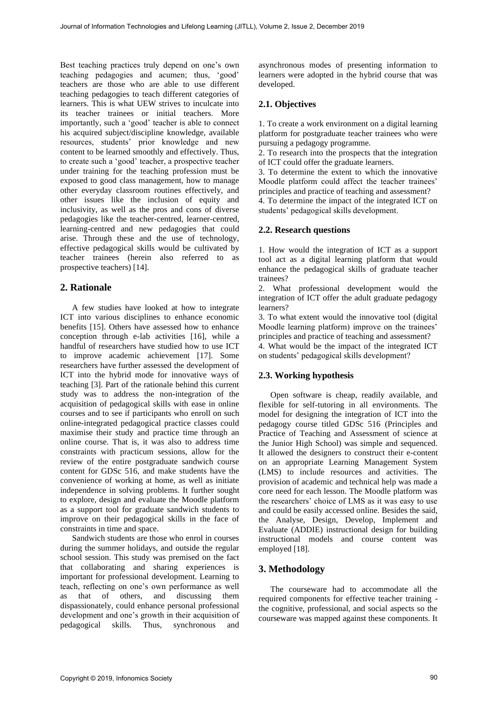Best teaching practices truly depend on one's own teaching pedagogies and acumen; thus, 'good' teachers are those who are able to use different teaching pedagogies to teach different categories of learners. This is what UEW strives to inculcate into its teacher trainees or initial teachers. More importantly, such a 'good' teacher is able to connect his acquired subject/discipline knowledge, available resources, students' prior knowledge and new content to be learned smoothly and effectively. Thus, to create such a 'good' teacher, a prospective teacher under training for the teaching profession must be exposed to good class management, how to manage other everyday classroom routines effectively, and other issues like the inclusion of equity and inclusivity, as well as the pros and cons of diverse pedagogies like the teacher-centred, learner-centred, learning-centred and new pedagogies that could arise. Through these and the use of technology, effective pedagogical skills would be cultivated by teacher trainees (herein also referred to as prospective teachers) [14].

## **2. Rationale**

A few studies have looked at how to integrate ICT into various disciplines to enhance economic benefits [15]. Others have assessed how to enhance conception through e-lab activities [16], while a handful of researchers have studied how to use ICT to improve academic achievement [17]. Some researchers have further assessed the development of ICT into the hybrid mode for innovative ways of teaching [3]. Part of the rationale behind this current study was to address the non-integration of the acquisition of pedagogical skills with ease in online courses and to see if participants who enroll on such online-integrated pedagogical practice classes could maximise their study and practice time through an online course. That is, it was also to address time constraints with practicum sessions, allow for the review of the entire postgraduate sandwich course content for GDSc 516, and make students have the convenience of working at home, as well as initiate independence in solving problems. It further sought to explore, design and evaluate the Moodle platform as a support tool for graduate sandwich students to improve on their pedagogical skills in the face of constraints in time and space.

Sandwich students are those who enrol in courses during the summer holidays, and outside the regular school session. This study was premised on the fact that collaborating and sharing experiences is important for professional development. Learning to teach, reflecting on one's own performance as well as that of others, and discussing them dispassionately, could enhance personal professional development and one's growth in their acquisition of pedagogical skills. Thus, synchronous and

asynchronous modes of presenting information to learners were adopted in the hybrid course that was developed.

## **2.1. Objectives**

1. To create a work environment on a digital learning platform for postgraduate teacher trainees who were pursuing a pedagogy programme.

2. To research into the prospects that the integration of ICT could offer the graduate learners.

3. To determine the extent to which the innovative Moodle platform could affect the teacher trainees' principles and practice of teaching and assessment?

4. To determine the impact of the integrated ICT on students' pedagogical skills development.

#### **2.2. Research questions**

1. How would the integration of ICT as a support tool act as a digital learning platform that would enhance the pedagogical skills of graduate teacher trainees?

2. What professional development would the integration of ICT offer the adult graduate pedagogy learners?

3. To what extent would the innovative tool (digital Moodle learning platform) improve on the trainees' principles and practice of teaching and assessment?

4. What would be the impact of the integrated ICT on students' pedagogical skills development?

## **2.3. Working hypothesis**

Open software is cheap, readily available, and flexible for self-tutoring in all environments. The model for designing the integration of ICT into the pedagogy course titled GDSc 516 (Principles and Practice of Teaching and Assessment of science at the Junior High School) was simple and sequenced. It allowed the designers to construct their e-content on an appropriate Learning Management System (LMS) to include resources and activities. The provision of academic and technical help was made a core need for each lesson. The Moodle platform was the researchers' choice of LMS as it was easy to use and could be easily accessed online. Besides the said, the Analyse, Design, Develop, Implement and Evaluate (ADDIE) instructional design for building instructional models and course content was employed [18].

## **3. Methodology**

The courseware had to accommodate all the required components for effective teacher training the cognitive, professional, and social aspects so the courseware was mapped against these components. It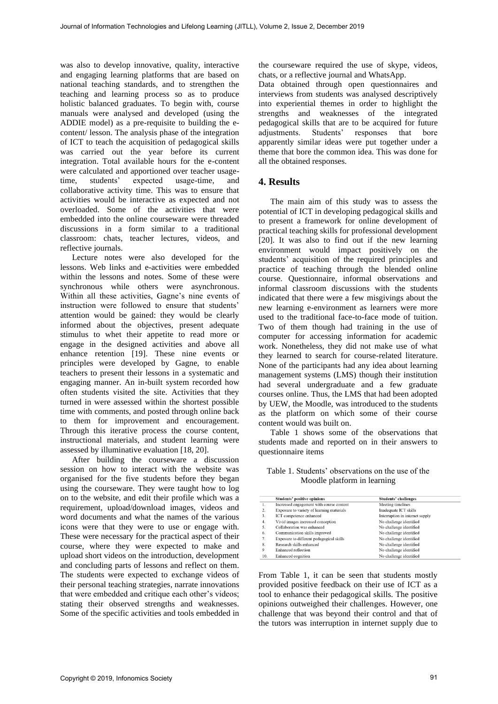was also to develop innovative, quality, interactive and engaging learning platforms that are based on national teaching standards, and to strengthen the teaching and learning process so as to produce holistic balanced graduates. To begin with, course manuals were analysed and developed (using the ADDIE model) as a pre-requisite to building the econtent/ lesson. The analysis phase of the integration of ICT to teach the acquisition of pedagogical skills was carried out the year before its current integration. Total available hours for the e-content were calculated and apportioned over teacher usagetime, students' expected usage-time, and collaborative activity time. This was to ensure that activities would be interactive as expected and not overloaded. Some of the activities that were embedded into the online courseware were threaded discussions in a form similar to a traditional classroom: chats, teacher lectures, videos, and reflective journals.

Lecture notes were also developed for the lessons. Web links and e-activities were embedded within the lessons and notes. Some of these were synchronous while others were asynchronous. Within all these activities, Gagne's nine events of instruction were followed to ensure that students' attention would be gained: they would be clearly informed about the objectives, present adequate stimulus to whet their appetite to read more or engage in the designed activities and above all enhance retention [19]. These nine events or principles were developed by Gagne, to enable teachers to present their lessons in a systematic and engaging manner. An in-built system recorded how often students visited the site. Activities that they turned in were assessed within the shortest possible time with comments, and posted through online back to them for improvement and encouragement. Through this iterative process the course content, instructional materials, and student learning were assessed by illuminative evaluation [18, 20].

After building the courseware a discussion session on how to interact with the website was organised for the five students before they began using the courseware. They were taught how to log on to the website, and edit their profile which was a requirement, upload/download images, videos and word documents and what the names of the various icons were that they were to use or engage with. These were necessary for the practical aspect of their course, where they were expected to make and upload short videos on the introduction, development and concluding parts of lessons and reflect on them. The students were expected to exchange videos of their personal teaching strategies, narrate innovations that were embedded and critique each other's videos; stating their observed strengths and weaknesses. Some of the specific activities and tools embedded in the courseware required the use of skype, videos, chats, or a reflective journal and WhatsApp.

Data obtained through open questionnaires and interviews from students was analysed descriptively into experiential themes in order to highlight the strengths and weaknesses of the integrated pedagogical skills that are to be acquired for future<br>adjustments. Students' responses that bore Students' responses that bore apparently similar ideas were put together under a theme that bore the common idea. This was done for all the obtained responses.

#### **4. Results**

The main aim of this study was to assess the potential of ICT in developing pedagogical skills and to present a framework for online development of practical teaching skills for professional development [20]. It was also to find out if the new learning environment would impact positively on the students' acquisition of the required principles and practice of teaching through the blended online course. Questionnaire, informal observations and informal classroom discussions with the students indicated that there were a few misgivings about the new learning e-environment as learners were more used to the traditional face-to-face mode of tuition. Two of them though had training in the use of computer for accessing information for academic work. Nonetheless, they did not make use of what they learned to search for course-related literature. None of the participants had any idea about learning management systems (LMS) though their institution had several undergraduate and a few graduate courses online. Thus, the LMS that had been adopted by UEW, the Moodle, was introduced to the students as the platform on which some of their course content would was built on.

Table 1 shows some of the observations that students made and reported on in their answers to questionnaire items

Table 1. Students' observations on the use of the Moodle platform in learning

|     | Students' positive opinions               | <b>Students' challenges</b>     |
|-----|-------------------------------------------|---------------------------------|
| 1.  | Increased engagement with course content  | Meeting timelines               |
| 2.  | Exposure to variety of learning materials | Inadequate ICT skills           |
| 3.  | ICT competence enhanced                   | Interruption in internet supply |
| 4.  | Vivid images increased conception         | No challenge identified         |
| 5.  | Collaboration was enhanced                | No challenge identified         |
| 6.  | Communication skills improved             | No challenge identified         |
| 7.  | Exposure to different pedagogical skills  | No challenge identified         |
| 8.  | Research skills enhanced                  | No challenge identified         |
| 9   | Enhanced reflection                       | No challenge identified         |
| 10. | Enhanced cognition                        | No challenge identified         |

From Table 1, it can be seen that students mostly provided positive feedback on their use of ICT as a tool to enhance their pedagogical skills. The positive opinions outweighed their challenges. However, one challenge that was beyond their control and that of the tutors was interruption in internet supply due to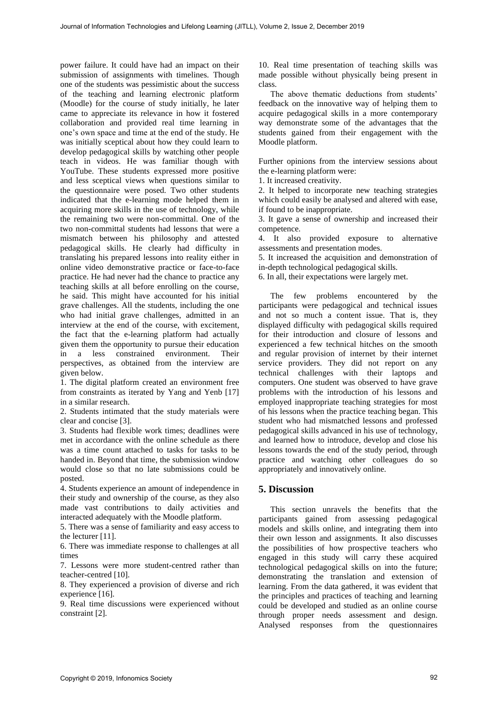power failure. It could have had an impact on their submission of assignments with timelines. Though one of the students was pessimistic about the success of the teaching and learning electronic platform (Moodle) for the course of study initially, he later came to appreciate its relevance in how it fostered collaboration and provided real time learning in one's own space and time at the end of the study. He was initially sceptical about how they could learn to develop pedagogical skills by watching other people teach in videos. He was familiar though with YouTube. These students expressed more positive and less sceptical views when questions similar to the questionnaire were posed. Two other students indicated that the e-learning mode helped them in acquiring more skills in the use of technology, while the remaining two were non-committal. One of the two non-committal students had lessons that were a mismatch between his philosophy and attested pedagogical skills. He clearly had difficulty in translating his prepared lessons into reality either in online video demonstrative practice or face-to-face practice. He had never had the chance to practice any teaching skills at all before enrolling on the course, he said. This might have accounted for his initial grave challenges. All the students, including the one who had initial grave challenges, admitted in an interview at the end of the course, with excitement, the fact that the e-learning platform had actually given them the opportunity to pursue their education in a less constrained environment. Their perspectives, as obtained from the interview are given below.

1. The digital platform created an environment free from constraints as iterated by Yang and Yenb [17] in a similar research.

2. Students intimated that the study materials were clear and concise [3].

3. Students had flexible work times; deadlines were met in accordance with the online schedule as there was a time count attached to tasks for tasks to be handed in. Beyond that time, the submission window would close so that no late submissions could be posted.

4. Students experience an amount of independence in their study and ownership of the course, as they also made vast contributions to daily activities and interacted adequately with the Moodle platform.

5. There was a sense of familiarity and easy access to the lecturer [11].

6. There was immediate response to challenges at all times

7. Lessons were more student-centred rather than teacher-centred [10].

8. They experienced a provision of diverse and rich experience [16].

9. Real time discussions were experienced without constraint [2].

10. Real time presentation of teaching skills was made possible without physically being present in class.

The above thematic deductions from students' feedback on the innovative way of helping them to acquire pedagogical skills in a more contemporary way demonstrate some of the advantages that the students gained from their engagement with the Moodle platform.

Further opinions from the interview sessions about the e-learning platform were:

1. It increased creativity.

2. It helped to incorporate new teaching strategies which could easily be analysed and altered with ease, if found to be inappropriate.

3. It gave a sense of ownership and increased their competence.

4. It also provided exposure to alternative assessments and presentation modes.

5. It increased the acquisition and demonstration of in-depth technological pedagogical skills.

6. In all, their expectations were largely met.

The few problems encountered by the participants were pedagogical and technical issues and not so much a content issue. That is, they displayed difficulty with pedagogical skills required for their introduction and closure of lessons and experienced a few technical hitches on the smooth and regular provision of internet by their internet service providers. They did not report on any technical challenges with their laptops and computers. One student was observed to have grave problems with the introduction of his lessons and employed inappropriate teaching strategies for most of his lessons when the practice teaching began. This student who had mismatched lessons and professed pedagogical skills advanced in his use of technology, and learned how to introduce, develop and close his lessons towards the end of the study period, through practice and watching other colleagues do so appropriately and innovatively online.

#### **5. Discussion**

This section unravels the benefits that the participants gained from assessing pedagogical models and skills online, and integrating them into their own lesson and assignments. It also discusses the possibilities of how prospective teachers who engaged in this study will carry these acquired technological pedagogical skills on into the future; demonstrating the translation and extension of learning. From the data gathered, it was evident that the principles and practices of teaching and learning could be developed and studied as an online course through proper needs assessment and design. Analysed responses from the questionnaires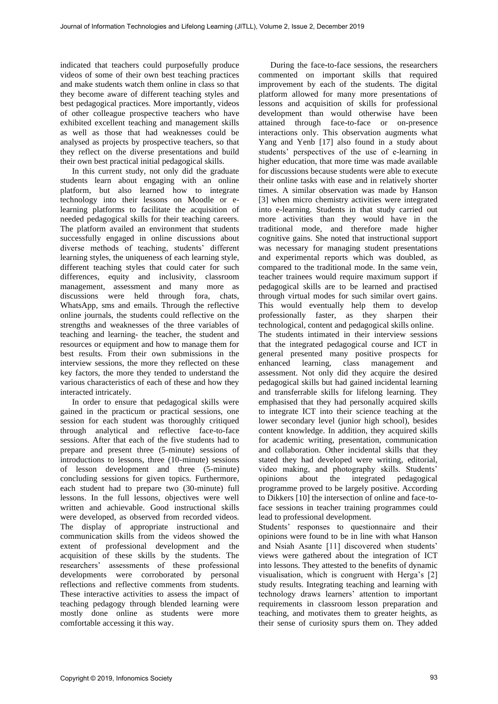indicated that teachers could purposefully produce videos of some of their own best teaching practices and make students watch them online in class so that they become aware of different teaching styles and best pedagogical practices. More importantly, videos of other colleague prospective teachers who have exhibited excellent teaching and management skills as well as those that had weaknesses could be analysed as projects by prospective teachers, so that they reflect on the diverse presentations and build their own best practical initial pedagogical skills.

In this current study, not only did the graduate students learn about engaging with an online platform, but also learned how to integrate technology into their lessons on Moodle or elearning platforms to facilitate the acquisition of needed pedagogical skills for their teaching careers. The platform availed an environment that students successfully engaged in online discussions about diverse methods of teaching, students' different learning styles, the uniqueness of each learning style, different teaching styles that could cater for such differences, equity and inclusivity, classroom management, assessment and many more as discussions were held through fora, chats, WhatsApp, sms and emails. Through the reflective online journals, the students could reflective on the strengths and weaknesses of the three variables of teaching and learning- the teacher, the student and resources or equipment and how to manage them for best results. From their own submissions in the interview sessions, the more they reflected on these key factors, the more they tended to understand the various characteristics of each of these and how they interacted intricately.

In order to ensure that pedagogical skills were gained in the practicum or practical sessions, one session for each student was thoroughly critiqued through analytical and reflective face-to-face sessions. After that each of the five students had to prepare and present three (5-minute) sessions of introductions to lessons, three (10-minute) sessions of lesson development and three (5-minute) concluding sessions for given topics. Furthermore, each student had to prepare two (30-minute) full lessons. In the full lessons, objectives were well written and achievable. Good instructional skills were developed, as observed from recorded videos. The display of appropriate instructional and communication skills from the videos showed the extent of professional development and the acquisition of these skills by the students. The researchers' assessments of these professional developments were corroborated by personal reflections and reflective comments from students. These interactive activities to assess the impact of teaching pedagogy through blended learning were mostly done online as students were more comfortable accessing it this way.

During the face-to-face sessions, the researchers commented on important skills that required improvement by each of the students. The digital platform allowed for many more presentations of lessons and acquisition of skills for professional development than would otherwise have been attained through face-to-face or on-presence interactions only. This observation augments what Yang and Yenb [17] also found in a study about students' perspectives of the use of e-learning in higher education, that more time was made available for discussions because students were able to execute their online tasks with ease and in relatively shorter times. A similar observation was made by Hanson [3] when micro chemistry activities were integrated into e-learning. Students in that study carried out more activities than they would have in the traditional mode, and therefore made higher cognitive gains. She noted that instructional support was necessary for managing student presentations and experimental reports which was doubled, as compared to the traditional mode. In the same vein, teacher trainees would require maximum support if pedagogical skills are to be learned and practised through virtual modes for such similar overt gains. This would eventually help them to develop professionally faster, as they sharpen their technological, content and pedagogical skills online. The students intimated in their interview sessions that the integrated pedagogical course and ICT in general presented many positive prospects for enhanced learning, class management and assessment. Not only did they acquire the desired pedagogical skills but had gained incidental learning and transferrable skills for lifelong learning. They emphasised that they had personally acquired skills to integrate ICT into their science teaching at the lower secondary level (junior high school), besides content knowledge. In addition, they acquired skills for academic writing, presentation, communication and collaboration. Other incidental skills that they stated they had developed were writing, editorial, video making, and photography skills. Students' opinions about the integrated pedagogical programme proved to be largely positive. According to Dikkers [10] the intersection of online and face-toface sessions in teacher training programmes could lead to professional development.

Students' responses to questionnaire and their opinions were found to be in line with what Hanson and Nsiah Asante [11] discovered when students' views were gathered about the integration of ICT into lessons. They attested to the benefits of dynamic visualisation, which is congruent with Herga's [2] study results. Integrating teaching and learning with technology draws learners' attention to important requirements in classroom lesson preparation and teaching, and motivates them to greater heights, as their sense of curiosity spurs them on. They added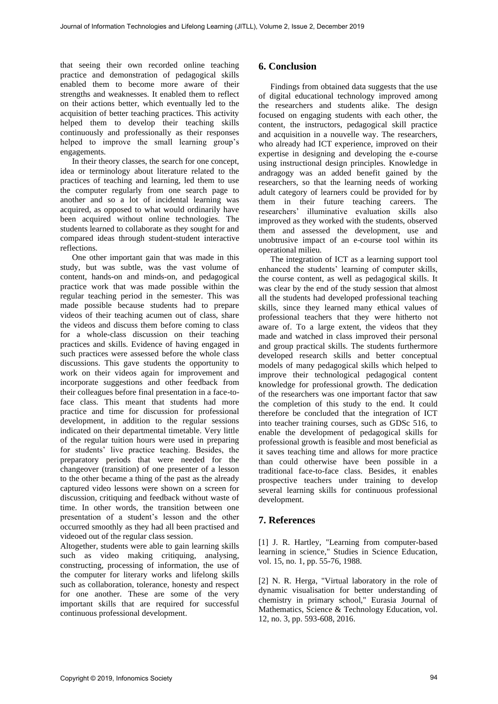that seeing their own recorded online teaching practice and demonstration of pedagogical skills enabled them to become more aware of their strengths and weaknesses. It enabled them to reflect on their actions better, which eventually led to the acquisition of better teaching practices. This activity helped them to develop their teaching skills continuously and professionally as their responses helped to improve the small learning group's engagements.

In their theory classes, the search for one concept, idea or terminology about literature related to the practices of teaching and learning, led them to use the computer regularly from one search page to another and so a lot of incidental learning was acquired, as opposed to what would ordinarily have been acquired without online technologies. The students learned to collaborate as they sought for and compared ideas through student-student interactive reflections.

One other important gain that was made in this study, but was subtle, was the vast volume of content, hands-on and minds-on, and pedagogical practice work that was made possible within the regular teaching period in the semester. This was made possible because students had to prepare videos of their teaching acumen out of class, share the videos and discuss them before coming to class for a whole-class discussion on their teaching practices and skills. Evidence of having engaged in such practices were assessed before the whole class discussions. This gave students the opportunity to work on their videos again for improvement and incorporate suggestions and other feedback from their colleagues before final presentation in a face-toface class. This meant that students had more practice and time for discussion for professional development, in addition to the regular sessions indicated on their departmental timetable. Very little of the regular tuition hours were used in preparing for students' live practice teaching. Besides, the preparatory periods that were needed for the changeover (transition) of one presenter of a lesson to the other became a thing of the past as the already captured video lessons were shown on a screen for discussion, critiquing and feedback without waste of time. In other words, the transition between one presentation of a student's lesson and the other occurred smoothly as they had all been practised and videoed out of the regular class session.

Altogether, students were able to gain learning skills such as video making critiquing, analysing, constructing, processing of information, the use of the computer for literary works and lifelong skills such as collaboration, tolerance, honesty and respect for one another. These are some of the very important skills that are required for successful continuous professional development.

## **6. Conclusion**

Findings from obtained data suggests that the use of digital educational technology improved among the researchers and students alike. The design focused on engaging students with each other, the content, the instructors, pedagogical skill practice and acquisition in a nouvelle way. The researchers, who already had ICT experience, improved on their expertise in designing and developing the e-course using instructional design principles. Knowledge in andragogy was an added benefit gained by the researchers, so that the learning needs of working adult category of learners could be provided for by them in their future teaching careers. The researchers' illuminative evaluation skills also improved as they worked with the students, observed them and assessed the development, use and unobtrusive impact of an e-course tool within its operational milieu.

The integration of ICT as a learning support tool enhanced the students' learning of computer skills, the course content, as well as pedagogical skills. It was clear by the end of the study session that almost all the students had developed professional teaching skills, since they learned many ethical values of professional teachers that they were hitherto not aware of. To a large extent, the videos that they made and watched in class improved their personal and group practical skills. The students furthermore developed research skills and better conceptual models of many pedagogical skills which helped to improve their technological pedagogical content knowledge for professional growth. The dedication of the researchers was one important factor that saw the completion of this study to the end. It could therefore be concluded that the integration of ICT into teacher training courses, such as GDSc 516, to enable the development of pedagogical skills for professional growth is feasible and most beneficial as it saves teaching time and allows for more practice than could otherwise have been possible in a traditional face-to-face class. Besides, it enables prospective teachers under training to develop several learning skills for continuous professional development.

## **7. References**

[1] J. R. Hartley, "Learning from computer-based learning in science," Studies in Science Education, vol. 15, no. 1, pp. 55-76, 1988.

[2] N. R. Herga, "Virtual laboratory in the role of dynamic visualisation for better understanding of chemistry in primary school," Eurasia Journal of Mathematics, Science & Technology Education, vol. 12, no. 3, pp. 593-608, 2016.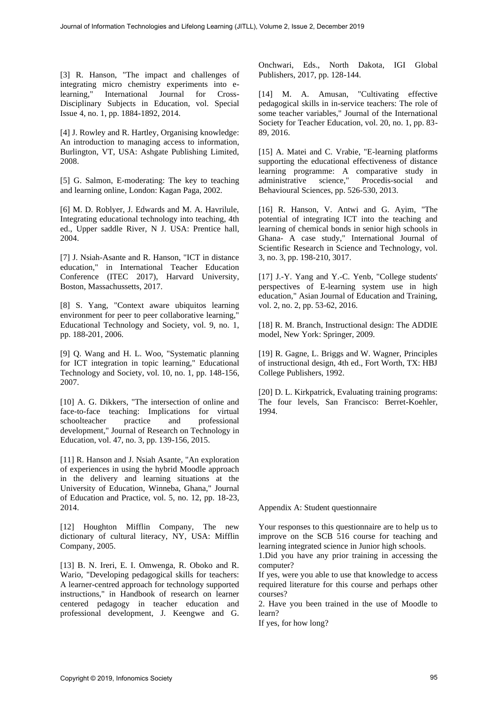[3] R. Hanson, "The impact and challenges of integrating micro chemistry experiments into e-<br>learning," International Journal for Cross-International Journal for Cross-Disciplinary Subjects in Education, vol. Special Issue 4, no. 1, pp. 1884-1892, 2014.

[4] J. Rowley and R. Hartley, Organising knowledge: An introduction to managing access to information, Burlington, VT, USA: Ashgate Publishing Limited, 2008.

[5] G. Salmon, E-moderating: The key to teaching and learning online, London: Kagan Paga, 2002.

[6] M. D. Roblyer, J. Edwards and M. A. Havrilule, Integrating educational technology into teaching, 4th ed., Upper saddle River, N J. USA: Prentice hall, 2004.

[7] J. Nsiah-Asante and R. Hanson, "ICT in distance education," in International Teacher Education Conference (ITEC 2017), Harvard University, Boston, Massachussetts, 2017.

[8] S. Yang, "Context aware ubiquitos learning environment for peer to peer collaborative learning," Educational Technology and Society, vol. 9, no. 1, pp. 188-201, 2006.

[9] Q. Wang and H. L. Woo, "Systematic planning for ICT integration in topic learning," Educational Technology and Society, vol. 10, no. 1, pp. 148-156, 2007.

[10] A. G. Dikkers, "The intersection of online and face-to-face teaching: Implications for virtual schoolteacher practice and professional development," Journal of Research on Technology in Education, vol. 47, no. 3, pp. 139-156, 2015.

[11] R. Hanson and J. Nsiah Asante, "An exploration of experiences in using the hybrid Moodle approach in the delivery and learning situations at the University of Education, Winneba, Ghana," Journal of Education and Practice, vol. 5, no. 12, pp. 18-23, 2014.

[12] Houghton Mifflin Company, The new dictionary of cultural literacy, NY, USA: Mifflin Company, 2005.

[13] B. N. Ireri, E. I. Omwenga, R. Oboko and R. Wario, "Developing pedagogical skills for teachers: A learner-centred approach for technology supported instructions," in Handbook of research on learner centered pedagogy in teacher education and professional development, J. Keengwe and G. Onchwari, Eds., North Dakota, IGI Global Publishers, 2017, pp. 128-144.

[14] M. A. Amusan, "Cultivating effective pedagogical skills in in-service teachers: The role of some teacher variables," Journal of the International Society for Teacher Education, vol. 20, no. 1, pp. 83- 89, 2016.

[15] A. Matei and C. Vrabie, "E-learning platforms supporting the educational effectiveness of distance learning programme: A comparative study in administrative science," Procedis-social and Behavioural Sciences, pp. 526-530, 2013.

[16] R. Hanson, V. Antwi and G. Ayim, "The potential of integrating ICT into the teaching and learning of chemical bonds in senior high schools in Ghana- A case study," International Journal of Scientific Research in Science and Technology, vol. 3, no. 3, pp. 198-210, 3017.

[17] J.-Y. Yang and Y.-C. Yenb, "College students' perspectives of E-learning system use in high education," Asian Journal of Education and Training, vol. 2, no. 2, pp. 53-62, 2016.

[18] R. M. Branch, Instructional design: The ADDIE model, New York: Springer, 2009.

[19] R. Gagne, L. Briggs and W. Wagner, Principles of instructional design, 4th ed., Fort Worth, TX: HBJ College Publishers, 1992.

[20] D. L. Kirkpatrick, Evaluating training programs: The four levels, San Francisco: Berret-Koehler, 1994.

Appendix A: Student questionnaire

Your responses to this questionnaire are to help us to improve on the SCB 516 course for teaching and learning integrated science in Junior high schools.

1.Did you have any prior training in accessing the computer?

If yes, were you able to use that knowledge to access required literature for this course and perhaps other courses?

2. Have you been trained in the use of Moodle to learn?

If yes, for how long?